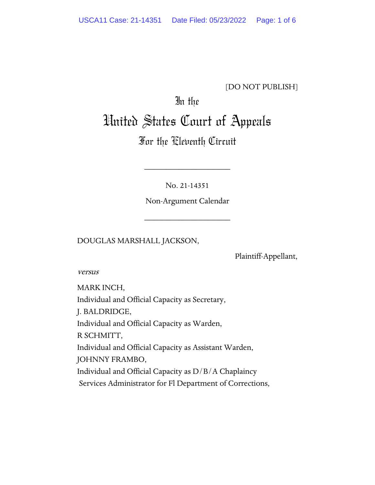### [DO NOT PUBLISH]

# In the United States Court of Appeals

# For the Eleventh Circuit

No. 21-14351

\_\_\_\_\_\_\_\_\_\_\_\_\_\_\_\_\_\_\_\_

Non-Argument Calendar

\_\_\_\_\_\_\_\_\_\_\_\_\_\_\_\_\_\_\_\_

DOUGLAS MARSHALL JACKSON,

Plaintiff-Appellant,

versus

MARK INCH, Individual and Official Capacity as Secretary, J. BALDRIDGE, Individual and Official Capacity as Warden, R SCHMITT, Individual and Official Capacity as Assistant Warden, JOHNNY FRAMBO, Individual and Official Capacity as D/B/A Chaplaincy Services Administrator for Fl Department of Corrections,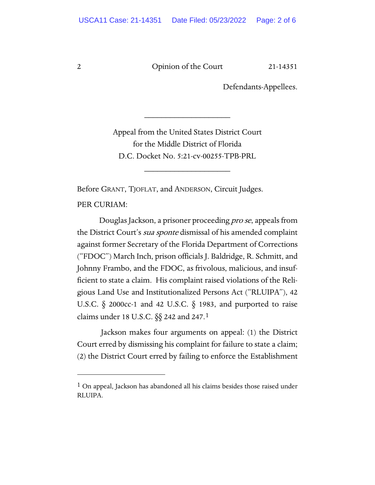2 Opinion of the Court 21-14351

Defendants-Appellees.

Appeal from the United States District Court for the Middle District of Florida D.C. Docket No. 5:21-cv-00255-TPB-PRL

\_\_\_\_\_\_\_\_\_\_\_\_\_\_\_\_\_\_\_\_

\_\_\_\_\_\_\_\_\_\_\_\_\_\_\_\_\_\_\_\_

Before GRANT, TJOFLAT, and ANDERSON, Circuit Judges.

PER CURIAM:

Douglas Jackson, a prisoner proceeding pro se, appeals from the District Court's *sua sponte* dismissal of his amended complaint against former Secretary of the Florida Department of Corrections ("FDOC") March Inch, prison officials J. Baldridge, R. Schmitt, and Johnny Frambo, and the FDOC, as frivolous, malicious, and insufficient to state a claim. His complaint raised violations of the Religious Land Use and Institutionalized Persons Act ("RLUIPA"), 42 U.S.C. § 2000cc-1 and 42 U.S.C. § 1983, and purported to raise claims under 18 U.S.C. §§ 242 and 247.[1](#page-1-0)

Jackson makes four arguments on appeal: (1) the District Court erred by dismissing his complaint for failure to state a claim; (2) the District Court erred by failing to enforce the Establishment

<span id="page-1-0"></span><sup>&</sup>lt;sup>1</sup> On appeal, Jackson has abandoned all his claims besides those raised under RLUIPA.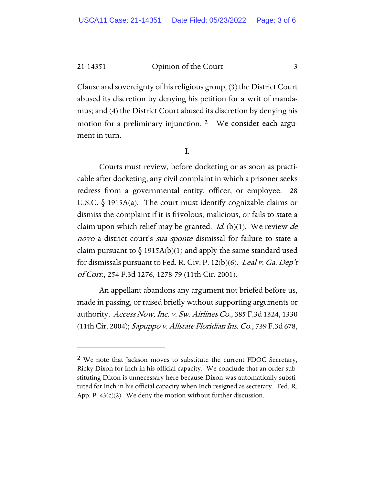21-14351 Opinion of the Court 3

Clause and sovereignty of his religious group; (3) the District Court abused its discretion by denying his petition for a writ of mandamus; and (4) the District Court abused its discretion by denying his motion for a preliminary injunction. [2](#page-2-0) We consider each argument in turn.

#### I.

Courts must review, before docketing or as soon as practicable after docketing, any civil complaint in which a prisoner seeks redress from a governmental entity, officer, or employee. 28 U.S.C. § 1915A(a). The court must identify cognizable claims or dismiss the complaint if it is frivolous, malicious, or fails to state a claim upon which relief may be granted. *Id.* (b) $(1)$ . We review *de* novo a district court's *sua sponte* dismissal for failure to state a claim pursuant to  $\S$  1915A(b)(1) and apply the same standard used for dismissals pursuant to Fed. R. Civ. P. 12(b)(6). Leal v. Ga. Dep't of Corr., 254 F.3d 1276, 1278-79 (11th Cir. 2001).

An appellant abandons any argument not briefed before us, made in passing, or raised briefly without supporting arguments or authority. Access Now, Inc. v. Sw. Airlines Co., 385 F.3d 1324, 1330 (11th Cir. 2004); Sapuppo v. Allstate Floridian Ins. Co., 739 F.3d 678,

<span id="page-2-0"></span> $2$  We note that Jackson moves to substitute the current FDOC Secretary, Ricky Dixon for Inch in his official capacity. We conclude that an order substituting Dixon is unnecessary here because Dixon was automatically substituted for Inch in his official capacity when Inch resigned as secretary. Fed. R. App. P.  $43(c)(2)$ . We deny the motion without further discussion.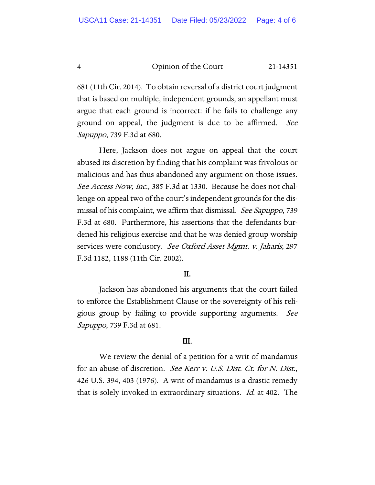4 Opinion of the Court 21-14351

681 (11th Cir. 2014). To obtain reversal of a district court judgment that is based on multiple, independent grounds, an appellant must argue that each ground is incorrect: if he fails to challenge any ground on appeal, the judgment is due to be affirmed. See Sapuppo, 739 F.3d at 680.

Here, Jackson does not argue on appeal that the court abused its discretion by finding that his complaint was frivolous or malicious and has thus abandoned any argument on those issues. See Access Now, Inc., 385 F.3d at 1330. Because he does not challenge on appeal two of the court's independent grounds for the dismissal of his complaint, we affirm that dismissal. See Sapuppo, 739 F.3d at 680. Furthermore, his assertions that the defendants burdened his religious exercise and that he was denied group worship services were conclusory. See Oxford Asset Mgmt. v. Jaharis, 297 F.3d 1182, 1188 (11th Cir. 2002).

#### II.

Jackson has abandoned his arguments that the court failed to enforce the Establishment Clause or the sovereignty of his religious group by failing to provide supporting arguments. See Sapuppo, 739 F.3d at 681.

#### III.

We review the denial of a petition for a writ of mandamus for an abuse of discretion. See Kerr v. U.S. Dist. Ct. for N. Dist., 426 U.S. 394, 403 (1976). A writ of mandamus is a drastic remedy that is solely invoked in extraordinary situations. Id. at 402. The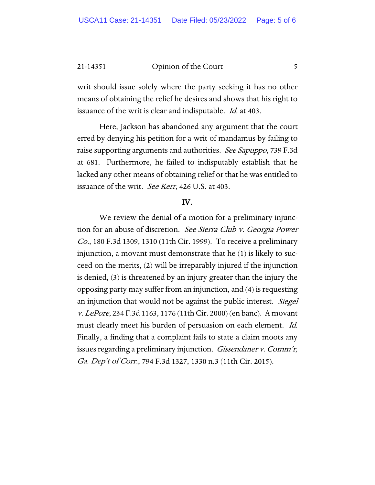21-14351 Opinion of the Court 5

writ should issue solely where the party seeking it has no other means of obtaining the relief he desires and shows that his right to issuance of the writ is clear and indisputable. *Id.* at 403.

Here, Jackson has abandoned any argument that the court erred by denying his petition for a writ of mandamus by failing to raise supporting arguments and authorities. See Sapuppo, 739 F.3d at 681. Furthermore, he failed to indisputably establish that he lacked any other means of obtaining relief or that he was entitled to issuance of the writ. See Kerr, 426 U.S. at 403.

#### IV.

We review the denial of a motion for a preliminary injunction for an abuse of discretion. See Sierra Club v. Georgia Power Co., 180 F.3d 1309, 1310 (11th Cir. 1999). To receive a preliminary injunction, a movant must demonstrate that he (1) is likely to succeed on the merits, (2) will be irreparably injured if the injunction is denied, (3) is threatened by an injury greater than the injury the opposing party may suffer from an injunction, and (4) is requesting an injunction that would not be against the public interest. Siegel v. LePore, 234 F.3d 1163, 1176 (11th Cir. 2000) (en banc). A movant must clearly meet his burden of persuasion on each element. Id. Finally, a finding that a complaint fails to state a claim moots any issues regarding a preliminary injunction. *Gissendaner v. Comm'r*, Ga. Dep't of Corr., 794 F.3d 1327, 1330 n.3 (11th Cir. 2015).